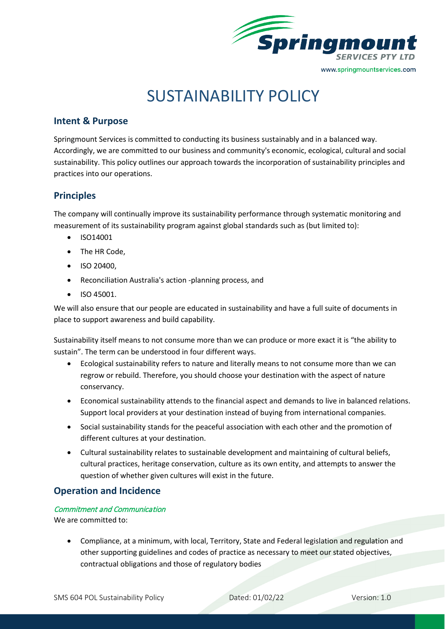

# SUSTAINABILITY POLICY

## **Intent & Purpose**

Springmount Services is committed to conducting its business sustainably and in a balanced way. Accordingly, we are committed to our business and community's economic, ecological, cultural and social sustainability. This policy outlines our approach towards the incorporation of sustainability principles and practices into our operations.

# **Principles**

The company will continually improve its sustainability performance through systematic monitoring and measurement of its sustainability program against global standards such as (but limited to):

- ISO14001
- The HR Code,
- ISO 20400,
- Reconciliation Australia's action -planning process, and
- ISO 45001.

We will also ensure that our people are educated in sustainability and have a full suite of documents in place to support awareness and build capability.

Sustainability itself means to not consume more than we can produce or more exact it is "the ability to sustain". The term can be understood in four different ways.

- Ecological sustainability refers to nature and literally means to not consume more than we can regrow or rebuild. Therefore, you should choose your destination with the aspect of nature conservancy.
- Economical sustainability attends to the financial aspect and demands to live in balanced relations. Support local providers at your destination instead of buying from international companies.
- Social sustainability stands for the peaceful association with each other and the promotion of different cultures at your destination.
- Cultural sustainability relates to sustainable development and maintaining of cultural beliefs, cultural practices, heritage conservation, culture as its own entity, and attempts to answer the question of whether given cultures will exist in the future.

## **Operation and Incidence**

#### Commitment and Communication

We are committed to:

• Compliance, at a minimum, with local, Territory, State and Federal legislation and regulation and other supporting guidelines and codes of practice as necessary to meet our stated objectives, contractual obligations and those of regulatory bodies